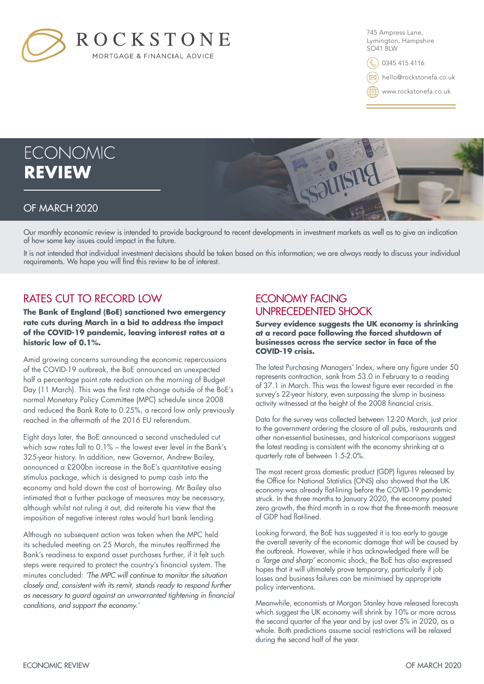

745 Ampress Lane, Lymington, Hampshire SO41 8LW

0345 415 4116

hello@rockstonefa.co.uk

www.rockstonefa.co.uk

# **ECONOMIC REVIEW**

#### OF MARCH 2020

Our monthly economic review is intended to provide background to recent developments in investment markets as well as to give an indication of how some key issues could impact in the future.

It is not intended that individual investment decisions should be taken based on this information; we are always ready to discuss your individual requirements. We hope you will find this review to be of interest.

## RATES CUT TO RECORD LOW

**The Bank of England (BoE) sanctioned two emergency rate cuts during March in a bid to address the impact of the COVID-19 pandemic, leaving interest rates at a historic low of 0.1%.**

Amid growing concerns surrounding the economic repercussions of the COVID-19 outbreak, the BoE announced an unexpected half a percentage point rate reduction on the morning of Budget Day (11 March). This was the first rate change outside of the BoE's normal Monetary Policy Committee (MPC) schedule since 2008 and reduced the Bank Rate to 0.25%, a record low only previously reached in the aftermath of the 2016 EU referendum.

Eight days later, the BoE announced a second unscheduled cut which saw rates fall to 0.1% – the lowest ever level in the Bank's 325-year history. In addition, new Governor, Andrew Bailey, announced a £200bn increase in the BoE's quantitative easing stimulus package, which is designed to pump cash into the economy and hold down the cost of borrowing. Mr Bailey also intimated that a further package of measures may be necessary, although whilst not ruling it out, did reiterate his view that the imposition of negative interest rates would hurt bank lending.

Although no subsequent action was taken when the MPC held its scheduled meeting on 25 March, the minutes reaffirmed the Bank's readiness to expand asset purchases further, if it felt such steps were required to protect the country's financial system. The minutes concluded: *'The MPC will continue to monitor the situation closely and, consistent with its remit, stands ready to respond further*  as necessary to guard against an unwarranted tightening in financial *conditions, and support the economy.'*

#### ECONOMY FACING UNPRECEDENTED SHOCK

**Survey evidence suggests the UK economy is shrinking at a record pace following the forced shutdown of businesses across the service sector in face of the COVID-19 crisis.**

The latest Purchasing Managers' Index, where any figure under 50 represents contraction, sank from 53.0 in February to a reading of 37.1 in March. This was the lowest figure ever recorded in the survey's 22-year history, even surpassing the slump in business activity witnessed at the height of the 2008 financial crisis.

Data for the survey was collected between 12-20 March, just prior to the government ordering the closure of all pubs, restaurants and other non-essential businesses, and historical comparisons suggest the latest reading is consistent with the economy shrinking at a quarterly rate of between 1.5-2.0%.

The most recent gross domestic product (GDP) figures released by the Office for National Statistics (ONS) also showed that the UK economy was already flat-lining before the COVID-19 pandemic struck. In the three months to January 2020, the economy posted zero growth, the third month in a row that the three-month measure of GDP had flat-lined.

Looking forward, the BoE has suggested it is too early to gauge the overall severity of the economic damage that will be caused by the outbreak. However, while it has acknowledged there will be a *'large and sharp'* economic shock, the BoE has also expressed hopes that it will ultimately prove temporary, particularly if job losses and business failures can be minimised by appropriate policy interventions.

Meanwhile, economists at Morgan Stanley have released forecasts which suggest the UK economy will shrink by 10% or more across the second quarter of the year and by just over 5% in 2020, as a whole. Both predictions assume social restrictions will be relaxed during the second half of the year.